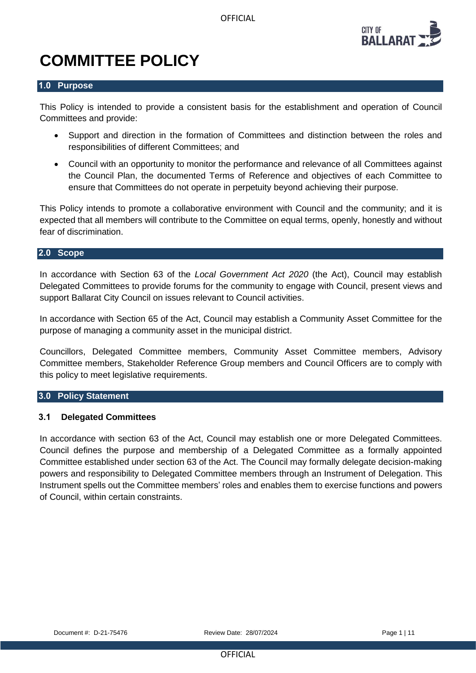OFFICIAL



# **COMMITTEE POLICY**

#### **1.0 Purpose**

This Policy is intended to provide a consistent basis for the establishment and operation of Council Committees and provide:

- Support and direction in the formation of Committees and distinction between the roles and responsibilities of different Committees; and
- Council with an opportunity to monitor the performance and relevance of all Committees against the Council Plan, the documented Terms of Reference and objectives of each Committee to ensure that Committees do not operate in perpetuity beyond achieving their purpose.

This Policy intends to promote a collaborative environment with Council and the community; and it is expected that all members will contribute to the Committee on equal terms, openly, honestly and without fear of discrimination.

#### **2.0 Scope**

In accordance with Section 63 of the *Local Government Act 2020* (the Act), Council may establish Delegated Committees to provide forums for the community to engage with Council, present views and support Ballarat City Council on issues relevant to Council activities.

In accordance with Section 65 of the Act, Council may establish a Community Asset Committee for the purpose of managing a community asset in the municipal district.

Councillors, Delegated Committee members, Community Asset Committee members, Advisory Committee members, Stakeholder Reference Group members and Council Officers are to comply with this policy to meet legislative requirements.

#### **3.0 Policy Statement**

#### **3.1 Delegated Committees**

In accordance with section 63 of the Act, Council may establish one or more Delegated Committees. Council defines the purpose and membership of a Delegated Committee as a formally appointed Committee established under section 63 of the Act. The Council may formally delegate decision-making powers and responsibility to Delegated Committee members through an Instrument of Delegation. This Instrument spells out the Committee members' roles and enables them to exercise functions and powers of Council, within certain constraints.

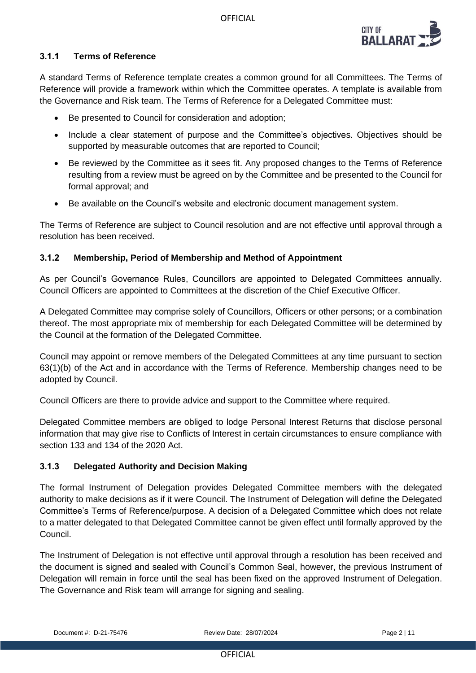

# **3.1.1 Terms of Reference**

A standard Terms of Reference template creates a common ground for all Committees. The Terms of Reference will provide a framework within which the Committee operates. A template is available from the Governance and Risk team. The Terms of Reference for a Delegated Committee must:

- Be presented to Council for consideration and adoption;
- Include a clear statement of purpose and the Committee's objectives. Objectives should be supported by measurable outcomes that are reported to Council;
- Be reviewed by the Committee as it sees fit. Any proposed changes to the Terms of Reference resulting from a review must be agreed on by the Committee and be presented to the Council for formal approval; and
- Be available on the Council's website and electronic document management system.

The Terms of Reference are subject to Council resolution and are not effective until approval through a resolution has been received.

# **3.1.2 Membership, Period of Membership and Method of Appointment**

As per Council's Governance Rules, Councillors are appointed to Delegated Committees annually. Council Officers are appointed to Committees at the discretion of the Chief Executive Officer.

A Delegated Committee may comprise solely of Councillors, Officers or other persons; or a combination thereof. The most appropriate mix of membership for each Delegated Committee will be determined by the Council at the formation of the Delegated Committee.

Council may appoint or remove members of the Delegated Committees at any time pursuant to section 63(1)(b) of the Act and in accordance with the Terms of Reference. Membership changes need to be adopted by Council.

Council Officers are there to provide advice and support to the Committee where required.

Delegated Committee members are obliged to lodge Personal Interest Returns that disclose personal information that may give rise to Conflicts of Interest in certain circumstances to ensure compliance with section 133 and 134 of the 2020 Act.

#### **3.1.3 Delegated Authority and Decision Making**

The formal Instrument of Delegation provides Delegated Committee members with the delegated authority to make decisions as if it were Council. The Instrument of Delegation will define the Delegated Committee's Terms of Reference/purpose. A decision of a Delegated Committee which does not relate to a matter delegated to that Delegated Committee cannot be given effect until formally approved by the Council.

The Instrument of Delegation is not effective until approval through a resolution has been received and the document is signed and sealed with Council's Common Seal, however, the previous Instrument of Delegation will remain in force until the seal has been fixed on the approved Instrument of Delegation. The Governance and Risk team will arrange for signing and sealing.

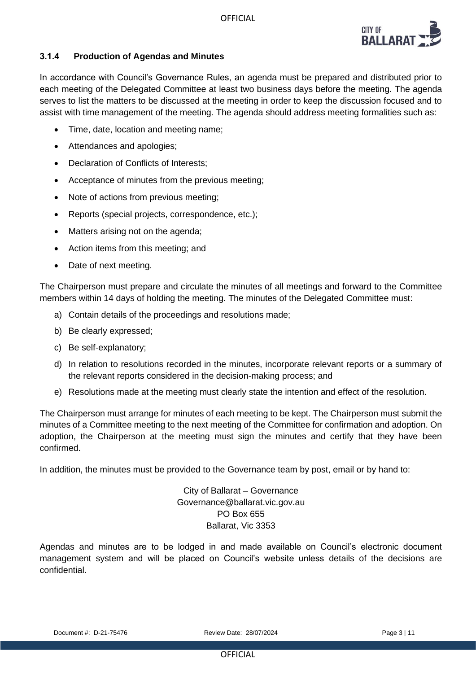

# **3.1.4 Production of Agendas and Minutes**

In accordance with Council's Governance Rules, an agenda must be prepared and distributed prior to each meeting of the Delegated Committee at least two business days before the meeting. The agenda serves to list the matters to be discussed at the meeting in order to keep the discussion focused and to assist with time management of the meeting. The agenda should address meeting formalities such as:

- Time, date, location and meeting name;
- Attendances and apologies;
- Declaration of Conflicts of Interests;
- Acceptance of minutes from the previous meeting;
- Note of actions from previous meeting;
- Reports (special projects, correspondence, etc.);
- Matters arising not on the agenda;
- Action items from this meeting; and
- Date of next meeting.

The Chairperson must prepare and circulate the minutes of all meetings and forward to the Committee members within 14 days of holding the meeting. The minutes of the Delegated Committee must:

- a) Contain details of the proceedings and resolutions made;
- b) Be clearly expressed;
- c) Be self-explanatory;
- d) In relation to resolutions recorded in the minutes, incorporate relevant reports or a summary of the relevant reports considered in the decision-making process; and
- e) Resolutions made at the meeting must clearly state the intention and effect of the resolution.

The Chairperson must arrange for minutes of each meeting to be kept. The Chairperson must submit the minutes of a Committee meeting to the next meeting of the Committee for confirmation and adoption. On adoption, the Chairperson at the meeting must sign the minutes and certify that they have been confirmed.

In addition, the minutes must be provided to the Governance team by post, email or by hand to:

City of Ballarat – Governance Governance@ballarat.vic.gov.au PO Box 655 Ballarat, Vic 3353

Agendas and minutes are to be lodged in and made available on Council's electronic document management system and will be placed on Council's website unless details of the decisions are confidential.

Document #: D-21-75476 Review Date: 28/07/2024 Page 3 | 11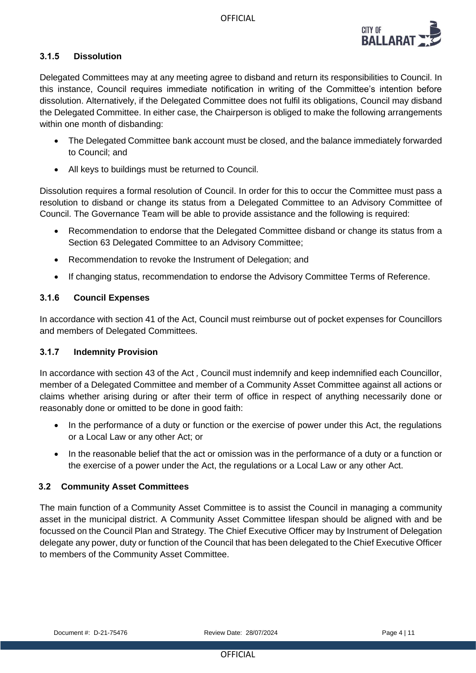

# **3.1.5 Dissolution**

Delegated Committees may at any meeting agree to disband and return its responsibilities to Council. In this instance, Council requires immediate notification in writing of the Committee's intention before dissolution. Alternatively, if the Delegated Committee does not fulfil its obligations, Council may disband the Delegated Committee. In either case, the Chairperson is obliged to make the following arrangements within one month of disbanding:

- The Delegated Committee bank account must be closed, and the balance immediately forwarded to Council; and
- All keys to buildings must be returned to Council.

Dissolution requires a formal resolution of Council. In order for this to occur the Committee must pass a resolution to disband or change its status from a Delegated Committee to an Advisory Committee of Council. The Governance Team will be able to provide assistance and the following is required:

- Recommendation to endorse that the Delegated Committee disband or change its status from a Section 63 Delegated Committee to an Advisory Committee;
- Recommendation to revoke the Instrument of Delegation; and
- If changing status, recommendation to endorse the Advisory Committee Terms of Reference.

#### **3.1.6 Council Expenses**

In accordance with section 41 of the Act, Council must reimburse out of pocket expenses for Councillors and members of Delegated Committees.

#### **3.1.7 Indemnity Provision**

In accordance with section 43 of the Act *,* Council must indemnify and keep indemnified each Councillor, member of a Delegated Committee and member of a Community Asset Committee against all actions or claims whether arising during or after their term of office in respect of anything necessarily done or reasonably done or omitted to be done in good faith:

- In the performance of a duty or function or the exercise of power under this Act, the regulations or a Local Law or any other Act; or
- In the reasonable belief that the act or omission was in the performance of a duty or a function or the exercise of a power under the Act, the regulations or a Local Law or any other Act.

#### **3.2 Community Asset Committees**

The main function of a Community Asset Committee is to assist the Council in managing a community asset in the municipal district. A Community Asset Committee lifespan should be aligned with and be focussed on the Council Plan and Strategy. The Chief Executive Officer may by Instrument of Delegation delegate any power, duty or function of the Council that has been delegated to the Chief Executive Officer to members of the Community Asset Committee.

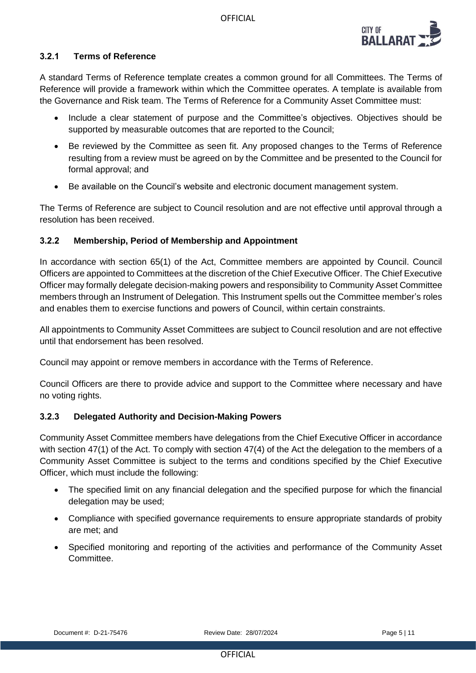

# **3.2.1 Terms of Reference**

A standard Terms of Reference template creates a common ground for all Committees. The Terms of Reference will provide a framework within which the Committee operates. A template is available from the Governance and Risk team. The Terms of Reference for a Community Asset Committee must:

- Include a clear statement of purpose and the Committee's objectives. Objectives should be supported by measurable outcomes that are reported to the Council;
- Be reviewed by the Committee as seen fit. Any proposed changes to the Terms of Reference resulting from a review must be agreed on by the Committee and be presented to the Council for formal approval; and
- Be available on the Council's website and electronic document management system.

The Terms of Reference are subject to Council resolution and are not effective until approval through a resolution has been received.

# **3.2.2 Membership, Period of Membership and Appointment**

In accordance with section 65(1) of the Act, Committee members are appointed by Council. Council Officers are appointed to Committees at the discretion of the Chief Executive Officer. The Chief Executive Officer may formally delegate decision-making powers and responsibility to Community Asset Committee members through an Instrument of Delegation. This Instrument spells out the Committee member's roles and enables them to exercise functions and powers of Council, within certain constraints.

All appointments to Community Asset Committees are subject to Council resolution and are not effective until that endorsement has been resolved.

Council may appoint or remove members in accordance with the Terms of Reference.

Council Officers are there to provide advice and support to the Committee where necessary and have no voting rights.

# **3.2.3 Delegated Authority and Decision-Making Powers**

Community Asset Committee members have delegations from the Chief Executive Officer in accordance with section 47(1) of the Act. To comply with section 47(4) of the Act the delegation to the members of a Community Asset Committee is subject to the terms and conditions specified by the Chief Executive Officer, which must include the following:

- The specified limit on any financial delegation and the specified purpose for which the financial delegation may be used;
- Compliance with specified governance requirements to ensure appropriate standards of probity are met; and
- Specified monitoring and reporting of the activities and performance of the Community Asset **Committee**

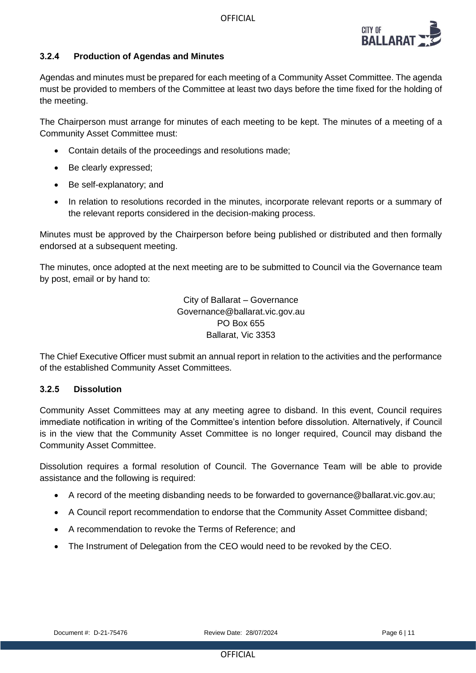

# **3.2.4 Production of Agendas and Minutes**

Agendas and minutes must be prepared for each meeting of a Community Asset Committee. The agenda must be provided to members of the Committee at least two days before the time fixed for the holding of the meeting.

The Chairperson must arrange for minutes of each meeting to be kept. The minutes of a meeting of a Community Asset Committee must:

- Contain details of the proceedings and resolutions made;
- Be clearly expressed;
- Be self-explanatory; and
- In relation to resolutions recorded in the minutes, incorporate relevant reports or a summary of the relevant reports considered in the decision-making process.

Minutes must be approved by the Chairperson before being published or distributed and then formally endorsed at a subsequent meeting.

The minutes, once adopted at the next meeting are to be submitted to Council via the Governance team by post, email or by hand to:

> City of Ballarat – Governance Governance@ballarat.vic.gov.au PO Box 655 Ballarat, Vic 3353

The Chief Executive Officer must submit an annual report in relation to the activities and the performance of the established Community Asset Committees.

#### **3.2.5 Dissolution**

Community Asset Committees may at any meeting agree to disband. In this event, Council requires immediate notification in writing of the Committee's intention before dissolution. Alternatively, if Council is in the view that the Community Asset Committee is no longer required, Council may disband the Community Asset Committee.

Dissolution requires a formal resolution of Council. The Governance Team will be able to provide assistance and the following is required:

- A record of the meeting disbanding needs to be forwarded to governance@ballarat.vic.gov.au:
- A Council report recommendation to endorse that the Community Asset Committee disband;
- A recommendation to revoke the Terms of Reference; and
- The Instrument of Delegation from the CEO would need to be revoked by the CEO.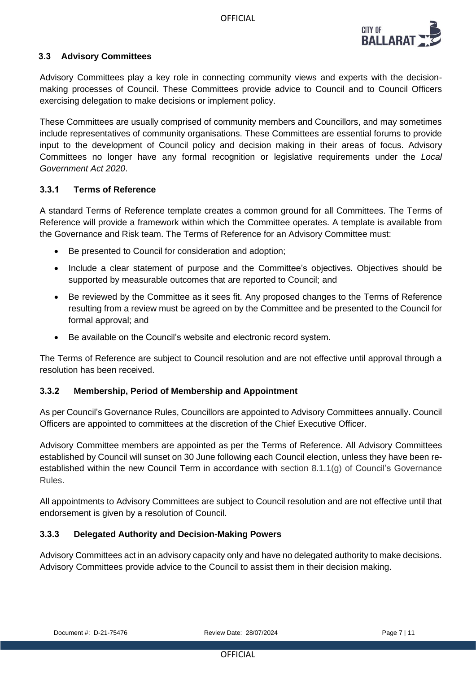

# **3.3 Advisory Committees**

Advisory Committees play a key role in connecting community views and experts with the decisionmaking processes of Council. These Committees provide advice to Council and to Council Officers exercising delegation to make decisions or implement policy.

These Committees are usually comprised of community members and Councillors, and may sometimes include representatives of community organisations. These Committees are essential forums to provide input to the development of Council policy and decision making in their areas of focus. Advisory Committees no longer have any formal recognition or legislative requirements under the *Local Government Act 2020*.

#### **3.3.1 Terms of Reference**

A standard Terms of Reference template creates a common ground for all Committees. The Terms of Reference will provide a framework within which the Committee operates. A template is available from the Governance and Risk team. The Terms of Reference for an Advisory Committee must:

- Be presented to Council for consideration and adoption;
- Include a clear statement of purpose and the Committee's objectives. Objectives should be supported by measurable outcomes that are reported to Council; and
- Be reviewed by the Committee as it sees fit. Any proposed changes to the Terms of Reference resulting from a review must be agreed on by the Committee and be presented to the Council for formal approval; and
- Be available on the Council's website and electronic record system.

The Terms of Reference are subject to Council resolution and are not effective until approval through a resolution has been received.

#### **3.3.2 Membership, Period of Membership and Appointment**

As per Council's Governance Rules, Councillors are appointed to Advisory Committees annually. Council Officers are appointed to committees at the discretion of the Chief Executive Officer.

Advisory Committee members are appointed as per the Terms of Reference. All Advisory Committees established by Council will sunset on 30 June following each Council election, unless they have been reestablished within the new Council Term in accordance with section 8.1.1(g) of Council's Governance Rules.

All appointments to Advisory Committees are subject to Council resolution and are not effective until that endorsement is given by a resolution of Council.

#### **3.3.3 Delegated Authority and Decision-Making Powers**

Advisory Committees act in an advisory capacity only and have no delegated authority to make decisions. Advisory Committees provide advice to the Council to assist them in their decision making.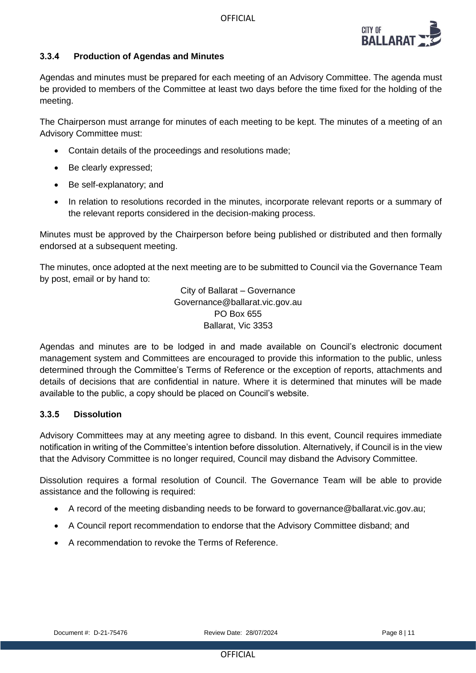

# **3.3.4 Production of Agendas and Minutes**

Agendas and minutes must be prepared for each meeting of an Advisory Committee. The agenda must be provided to members of the Committee at least two days before the time fixed for the holding of the meeting.

The Chairperson must arrange for minutes of each meeting to be kept. The minutes of a meeting of an Advisory Committee must:

- Contain details of the proceedings and resolutions made;
- Be clearly expressed;
- Be self-explanatory; and
- In relation to resolutions recorded in the minutes, incorporate relevant reports or a summary of the relevant reports considered in the decision-making process.

Minutes must be approved by the Chairperson before being published or distributed and then formally endorsed at a subsequent meeting.

The minutes, once adopted at the next meeting are to be submitted to Council via the Governance Team by post, email or by hand to:

> City of Ballarat – Governance Governance@ballarat.vic.gov.au PO Box 655 Ballarat, Vic 3353

Agendas and minutes are to be lodged in and made available on Council's electronic document management system and Committees are encouraged to provide this information to the public, unless determined through the Committee's Terms of Reference or the exception of reports, attachments and details of decisions that are confidential in nature. Where it is determined that minutes will be made available to the public, a copy should be placed on Council's website.

#### **3.3.5 Dissolution**

Advisory Committees may at any meeting agree to disband. In this event, Council requires immediate notification in writing of the Committee's intention before dissolution. Alternatively, if Council is in the view that the Advisory Committee is no longer required, Council may disband the Advisory Committee.

Dissolution requires a formal resolution of Council. The Governance Team will be able to provide assistance and the following is required:

- A record of the meeting disbanding needs to be forward to governance@ballarat.vic.gov.au;
- A Council report recommendation to endorse that the Advisory Committee disband; and
- A recommendation to revoke the Terms of Reference.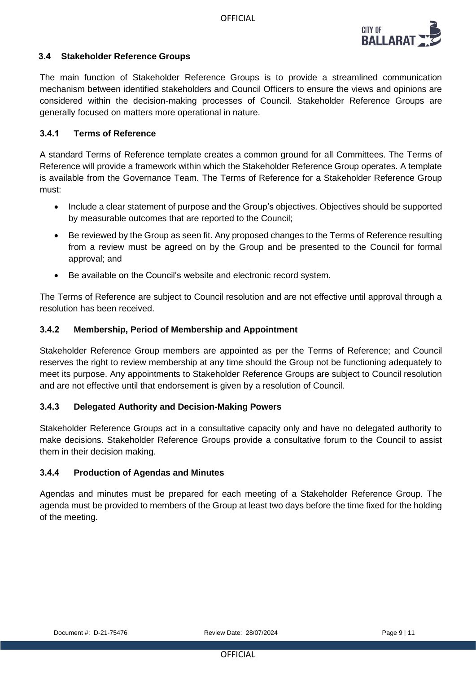

# **3.4 Stakeholder Reference Groups**

The main function of Stakeholder Reference Groups is to provide a streamlined communication mechanism between identified stakeholders and Council Officers to ensure the views and opinions are considered within the decision-making processes of Council. Stakeholder Reference Groups are generally focused on matters more operational in nature.

# **3.4.1 Terms of Reference**

A standard Terms of Reference template creates a common ground for all Committees. The Terms of Reference will provide a framework within which the Stakeholder Reference Group operates. A template is available from the Governance Team. The Terms of Reference for a Stakeholder Reference Group must:

- Include a clear statement of purpose and the Group's objectives. Objectives should be supported by measurable outcomes that are reported to the Council;
- Be reviewed by the Group as seen fit. Any proposed changes to the Terms of Reference resulting from a review must be agreed on by the Group and be presented to the Council for formal approval; and
- Be available on the Council's website and electronic record system.

The Terms of Reference are subject to Council resolution and are not effective until approval through a resolution has been received.

#### **3.4.2 Membership, Period of Membership and Appointment**

Stakeholder Reference Group members are appointed as per the Terms of Reference; and Council reserves the right to review membership at any time should the Group not be functioning adequately to meet its purpose. Any appointments to Stakeholder Reference Groups are subject to Council resolution and are not effective until that endorsement is given by a resolution of Council.

# **3.4.3 Delegated Authority and Decision-Making Powers**

Stakeholder Reference Groups act in a consultative capacity only and have no delegated authority to make decisions. Stakeholder Reference Groups provide a consultative forum to the Council to assist them in their decision making.

#### **3.4.4 Production of Agendas and Minutes**

Agendas and minutes must be prepared for each meeting of a Stakeholder Reference Group. The agenda must be provided to members of the Group at least two days before the time fixed for the holding of the meeting.

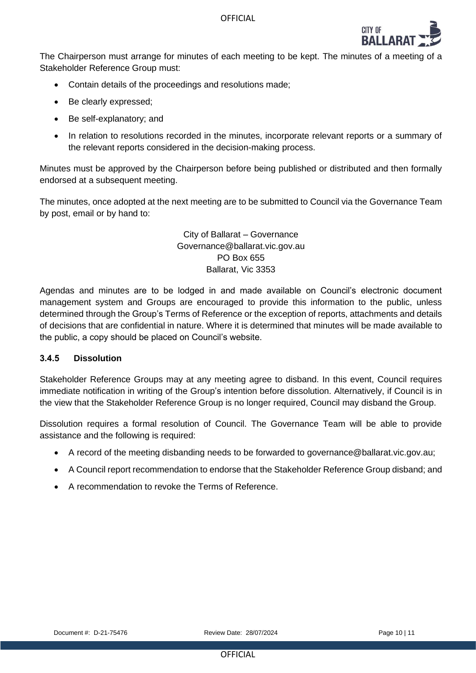

The Chairperson must arrange for minutes of each meeting to be kept. The minutes of a meeting of a Stakeholder Reference Group must:

- Contain details of the proceedings and resolutions made;
- Be clearly expressed;
- Be self-explanatory; and
- In relation to resolutions recorded in the minutes, incorporate relevant reports or a summary of the relevant reports considered in the decision-making process.

Minutes must be approved by the Chairperson before being published or distributed and then formally endorsed at a subsequent meeting.

The minutes, once adopted at the next meeting are to be submitted to Council via the Governance Team by post, email or by hand to:

> City of Ballarat – Governance Governance@ballarat.vic.gov.au PO Box 655 Ballarat, Vic 3353

Agendas and minutes are to be lodged in and made available on Council's electronic document management system and Groups are encouraged to provide this information to the public, unless determined through the Group's Terms of Reference or the exception of reports, attachments and details of decisions that are confidential in nature. Where it is determined that minutes will be made available to the public, a copy should be placed on Council's website.

#### **3.4.5 Dissolution**

Stakeholder Reference Groups may at any meeting agree to disband. In this event, Council requires immediate notification in writing of the Group's intention before dissolution. Alternatively, if Council is in the view that the Stakeholder Reference Group is no longer required, Council may disband the Group.

Dissolution requires a formal resolution of Council. The Governance Team will be able to provide assistance and the following is required:

- A record of the meeting disbanding needs to be forwarded to governance@ballarat.vic.gov.au;
- A Council report recommendation to endorse that the Stakeholder Reference Group disband; and
- A recommendation to revoke the Terms of Reference.